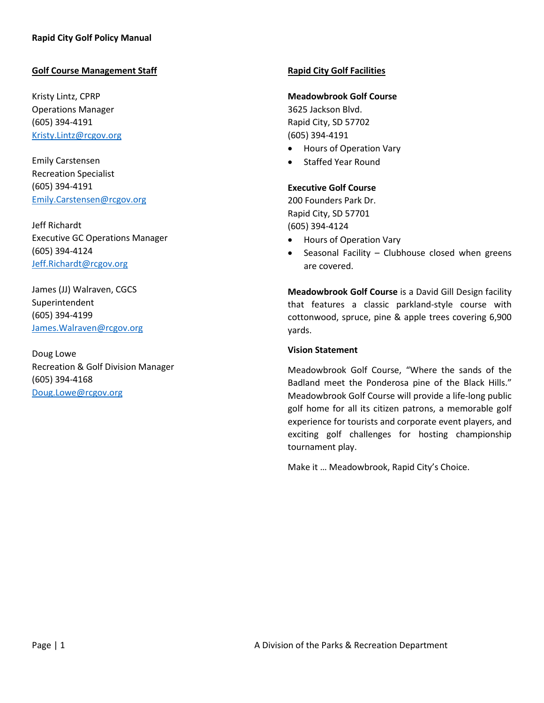# **Golf Course Management Staff**

Kristy Lintz, CPRP Operations Manager (605) 394-4191 [Kristy.Lintz@rcgov.org](mailto:Kristy.Lintz@rcgov.org)

Emily Carstensen Recreation Specialist (605) 394-4191 [Emily.Carstensen@rcgov.org](mailto:Emily.Carstensen@rcgov.org)

Jeff Richardt Executive GC Operations Manager (605) 394-4124 [Jeff.Richardt@rcgov.org](mailto:Jeff.Richardt@rcgov.org)

James (JJ) Walraven, CGCS Superintendent (605) 394-4199 [James.Walraven@rcgov.org](mailto:James.Walraven@rcgov.org)

Doug Lowe Recreation & Golf Division Manager (605) 394-4168 [Doug.Lowe@rcgov.org](mailto:Doug.Lowe@rcgov.org)

## **Rapid City Golf Facilities**

#### **Meadowbrook Golf Course**

3625 Jackson Blvd. Rapid City, SD 57702 (605) 394-4191

- Hours of Operation Vary
- Staffed Year Round

### **Executive Golf Course**

200 Founders Park Dr. Rapid City, SD 57701 (605) 394-4124

- Hours of Operation Vary
- Seasonal Facility Clubhouse closed when greens are covered.

**Meadowbrook Golf Course** is a David Gill Design facility that features a classic parkland-style course with cottonwood, spruce, pine & apple trees covering 6,900 yards.

#### **Vision Statement**

Meadowbrook Golf Course, "Where the sands of the Badland meet the Ponderosa pine of the Black Hills." Meadowbrook Golf Course will provide a life-long public golf home for all its citizen patrons, a memorable golf experience for tourists and corporate event players, and exciting golf challenges for hosting championship tournament play.

Make it … Meadowbrook, Rapid City's Choice.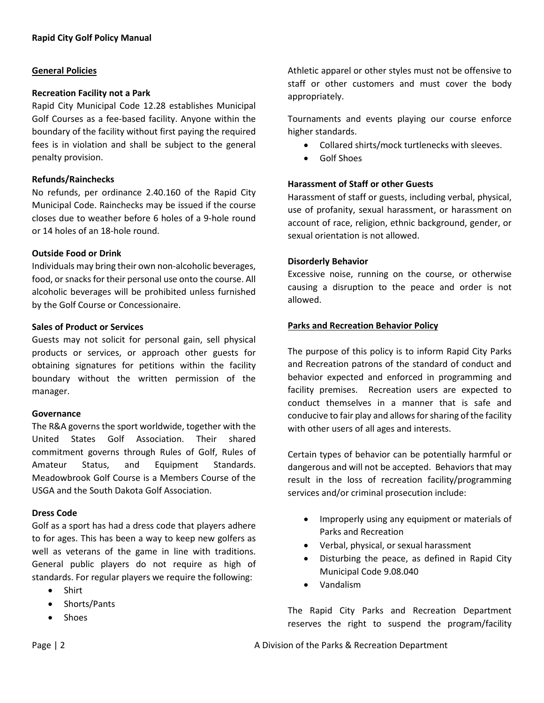## **General Policies**

## **Recreation Facility not a Park**

Rapid City Municipal Code 12.28 establishes Municipal Golf Courses as a fee-based facility. Anyone within the boundary of the facility without first paying the required fees is in violation and shall be subject to the general penalty provision.

## **Refunds/Rainchecks**

No refunds, per ordinance 2.40.160 of the Rapid City Municipal Code. Rainchecks may be issued if the course closes due to weather before 6 holes of a 9-hole round or 14 holes of an 18-hole round.

### **Outside Food or Drink**

Individuals may bring their own non-alcoholic beverages, food, or snacks for their personal use onto the course. All alcoholic beverages will be prohibited unless furnished by the Golf Course or Concessionaire.

## **Sales of Product or Services**

Guests may not solicit for personal gain, sell physical products or services, or approach other guests for obtaining signatures for petitions within the facility boundary without the written permission of the manager.

#### **Governance**

The R&A governs the sport worldwide, together with the United States Golf Association. Their shared commitment governs through Rules of Golf, Rules of Amateur Status, and Equipment Standards. Meadowbrook Golf Course is a Members Course of the USGA and the South Dakota Golf Association.

## **Dress Code**

Golf as a sport has had a dress code that players adhere to for ages. This has been a way to keep new golfers as well as veterans of the game in line with traditions. General public players do not require as high of standards. For regular players we require the following:

- Shirt
- Shorts/Pants
- Shoes

Athletic apparel or other styles must not be offensive to staff or other customers and must cover the body appropriately.

Tournaments and events playing our course enforce higher standards.

- Collared shirts/mock turtlenecks with sleeves.
- Golf Shoes

## **Harassment of Staff or other Guests**

Harassment of staff or guests, including verbal, physical, use of profanity, sexual harassment, or harassment on account of race, religion, ethnic background, gender, or sexual orientation is not allowed.

## **Disorderly Behavior**

Excessive noise, running on the course, or otherwise causing a disruption to the peace and order is not allowed.

### **Parks and Recreation Behavior Policy**

The purpose of this policy is to inform Rapid City Parks and Recreation patrons of the standard of conduct and behavior expected and enforced in programming and facility premises. Recreation users are expected to conduct themselves in a manner that is safe and conducive to fair play and allows for sharing of the facility with other users of all ages and interests.

Certain types of behavior can be potentially harmful or dangerous and will not be accepted. Behaviors that may result in the loss of recreation facility/programming services and/or criminal prosecution include:

- Improperly using any equipment or materials of Parks and Recreation
- Verbal, physical, or sexual harassment
- Disturbing the peace, as defined in Rapid City Municipal Code 9.08.040
- Vandalism

The Rapid City Parks and Recreation Department reserves the right to suspend the program/facility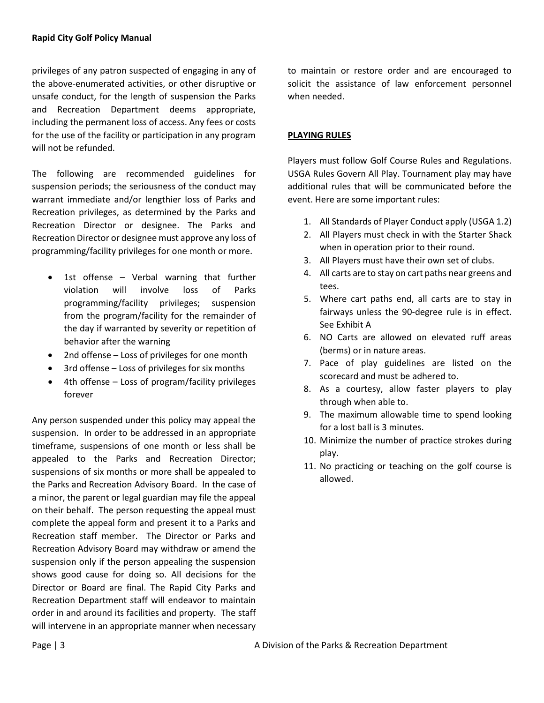privileges of any patron suspected of engaging in any of the above-enumerated activities, or other disruptive or unsafe conduct, for the length of suspension the Parks and Recreation Department deems appropriate, including the permanent loss of access. Any fees or costs for the use of the facility or participation in any program will not be refunded.

The following are recommended guidelines for suspension periods; the seriousness of the conduct may warrant immediate and/or lengthier loss of Parks and Recreation privileges, as determined by the Parks and Recreation Director or designee. The Parks and Recreation Director or designee must approve any loss of programming/facility privileges for one month or more.

- 1st offense  $-$  Verbal warning that further violation will involve loss of Parks programming/facility privileges; suspension from the program/facility for the remainder of the day if warranted by severity or repetition of behavior after the warning
- 2nd offense Loss of privileges for one month
- 3rd offense Loss of privileges for six months
- 4th offense Loss of program/facility privileges forever

Any person suspended under this policy may appeal the suspension. In order to be addressed in an appropriate timeframe, suspensions of one month or less shall be appealed to the Parks and Recreation Director; suspensions of six months or more shall be appealed to the Parks and Recreation Advisory Board. In the case of a minor, the parent or legal guardian may file the appeal on their behalf. The person requesting the appeal must complete the appeal form and present it to a Parks and Recreation staff member. The Director or Parks and Recreation Advisory Board may withdraw or amend the suspension only if the person appealing the suspension shows good cause for doing so. All decisions for the Director or Board are final. The Rapid City Parks and Recreation Department staff will endeavor to maintain order in and around its facilities and property. The staff will intervene in an appropriate manner when necessary

to maintain or restore order and are encouraged to solicit the assistance of law enforcement personnel when needed.

## **PLAYING RULES**

Players must follow Golf Course Rules and Regulations. USGA Rules Govern All Play. Tournament play may have additional rules that will be communicated before the event. Here are some important rules:

- 1. All Standards of Player Conduct apply (USGA 1.2)
- 2. All Players must check in with the Starter Shack when in operation prior to their round.
- 3. All Players must have their own set of clubs.
- 4. All carts are to stay on cart paths near greens and tees.
- 5. Where cart paths end, all carts are to stay in fairways unless the 90-degree rule is in effect. See Exhibit A
- 6. NO Carts are allowed on elevated ruff areas (berms) or in nature areas.
- 7. Pace of play guidelines are listed on the scorecard and must be adhered to.
- 8. As a courtesy, allow faster players to play through when able to.
- 9. The maximum allowable time to spend looking for a lost ball is 3 minutes.
- 10. Minimize the number of practice strokes during play.
- 11. No practicing or teaching on the golf course is allowed.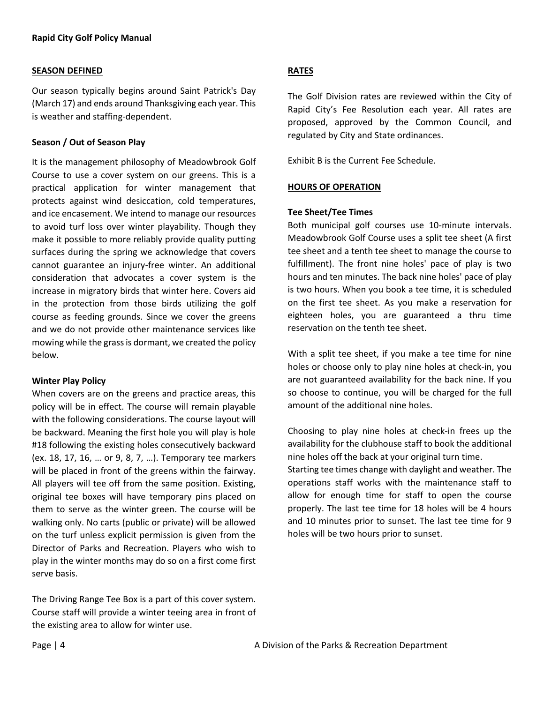### **SEASON DEFINED**

Our season typically begins around Saint Patrick's Day (March 17) and ends around Thanksgiving each year. This is weather and staffing-dependent.

### **Season / Out of Season Play**

It is the management philosophy of Meadowbrook Golf Course to use a cover system on our greens. This is a practical application for winter management that protects against wind desiccation, cold temperatures, and ice encasement. We intend to manage our resources to avoid turf loss over winter playability. Though they make it possible to more reliably provide quality putting surfaces during the spring we acknowledge that covers cannot guarantee an injury-free winter. An additional consideration that advocates a cover system is the increase in migratory birds that winter here. Covers aid in the protection from those birds utilizing the golf course as feeding grounds. Since we cover the greens and we do not provide other maintenance services like mowing while the grass is dormant, we created the policy below.

#### **Winter Play Policy**

When covers are on the greens and practice areas, this policy will be in effect. The course will remain playable with the following considerations. The course layout will be backward. Meaning the first hole you will play is hole #18 following the existing holes consecutively backward (ex. 18, 17, 16, … or 9, 8, 7, …). Temporary tee markers will be placed in front of the greens within the fairway. All players will tee off from the same position. Existing, original tee boxes will have temporary pins placed on them to serve as the winter green. The course will be walking only. No carts (public or private) will be allowed on the turf unless explicit permission is given from the Director of Parks and Recreation. Players who wish to play in the winter months may do so on a first come first serve basis.

The Driving Range Tee Box is a part of this cover system. Course staff will provide a winter teeing area in front of the existing area to allow for winter use.

# **RATES**

The Golf Division rates are reviewed within the City of Rapid City's Fee Resolution each year. All rates are proposed, approved by the Common Council, and regulated by City and State ordinances.

Exhibit B is the Current Fee Schedule.

### **HOURS OF OPERATION**

### **Tee Sheet/Tee Times**

Both municipal golf courses use 10-minute intervals. Meadowbrook Golf Course uses a split tee sheet (A first tee sheet and a tenth tee sheet to manage the course to fulfillment). The front nine holes' pace of play is two hours and ten minutes. The back nine holes' pace of play is two hours. When you book a tee time, it is scheduled on the first tee sheet. As you make a reservation for eighteen holes, you are guaranteed a thru time reservation on the tenth tee sheet.

With a split tee sheet, if you make a tee time for nine holes or choose only to play nine holes at check-in, you are not guaranteed availability for the back nine. If you so choose to continue, you will be charged for the full amount of the additional nine holes.

Choosing to play nine holes at check-in frees up the availability for the clubhouse staff to book the additional nine holes off the back at your original turn time. Starting tee times change with daylight and weather. The operations staff works with the maintenance staff to allow for enough time for staff to open the course

properly. The last tee time for 18 holes will be 4 hours and 10 minutes prior to sunset. The last tee time for 9 holes will be two hours prior to sunset.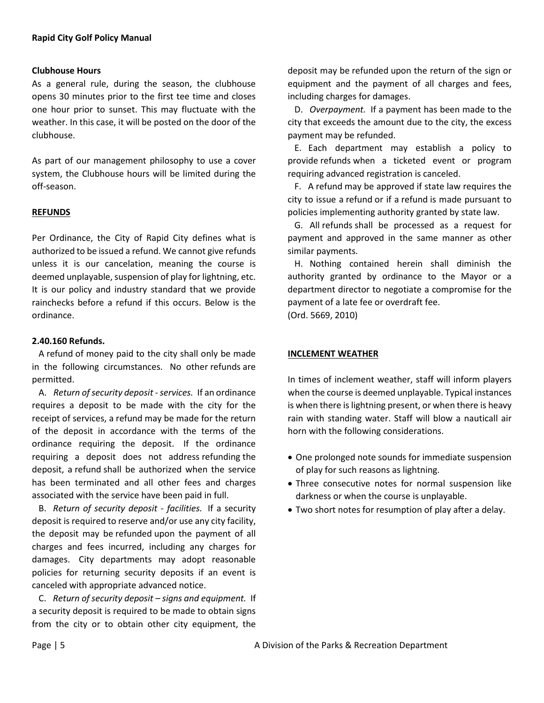## **Clubhouse Hours**

As a general rule, during the season, the clubhouse opens 30 minutes prior to the first tee time and closes one hour prior to sunset. This may fluctuate with the weather. In this case, it will be posted on the door of the clubhouse.

As part of our management philosophy to use a cover system, the Clubhouse hours will be limited during the off-season.

### **REFUNDS**

Per Ordinance, the City of Rapid City defines what is authorized to be issued a refund. We cannot give refunds unless it is our cancelation, meaning the course is deemed unplayable, suspension of play for lightning, etc. It is our policy and industry standard that we provide rainchecks before a refund if this occurs. Below is the ordinance.

### **2.40.160 Refunds.**

 A refund of money paid to the city shall only be made in the following circumstances. No other refunds are permitted.

 A. *Return of security deposit - services.* If an ordinance requires a deposit to be made with the city for the receipt of services, a refund may be made for the return of the deposit in accordance with the terms of the ordinance requiring the deposit. If the ordinance requiring a deposit does not address refunding the deposit, a refund shall be authorized when the service has been terminated and all other fees and charges associated with the service have been paid in full.

 B. *Return of security deposit - facilities.* If a security deposit is required to reserve and/or use any city facility, the deposit may be refunded upon the payment of all charges and fees incurred, including any charges for damages. City departments may adopt reasonable policies for returning security deposits if an event is canceled with appropriate advanced notice.

 C. *Return of security deposit – signs and equipment.* If a security deposit is required to be made to obtain signs from the city or to obtain other city equipment, the deposit may be refunded upon the return of the sign or equipment and the payment of all charges and fees, including charges for damages.

 D. *Overpayment.* If a payment has been made to the city that exceeds the amount due to the city, the excess payment may be refunded.

 E. Each department may establish a policy to provide refunds when a ticketed event or program requiring advanced registration is canceled.

 F. A refund may be approved if state law requires the city to issue a refund or if a refund is made pursuant to policies implementing authority granted by state law.

 G. All refunds shall be processed as a request for payment and approved in the same manner as other similar payments.

 H. Nothing contained herein shall diminish the authority granted by ordinance to the Mayor or a department director to negotiate a compromise for the payment of a late fee or overdraft fee.

(Ord. 5669, 2010)

## **INCLEMENT WEATHER**

In times of inclement weather, staff will inform players when the course is deemed unplayable. Typical instances is when there is lightning present, or when there is heavy rain with standing water. Staff will blow a nauticall air horn with the following considerations.

- One prolonged note sounds for immediate suspension of play for such reasons as lightning.
- Three consecutive notes for normal suspension like darkness or when the course is unplayable.
- Two short notes for resumption of play after a delay.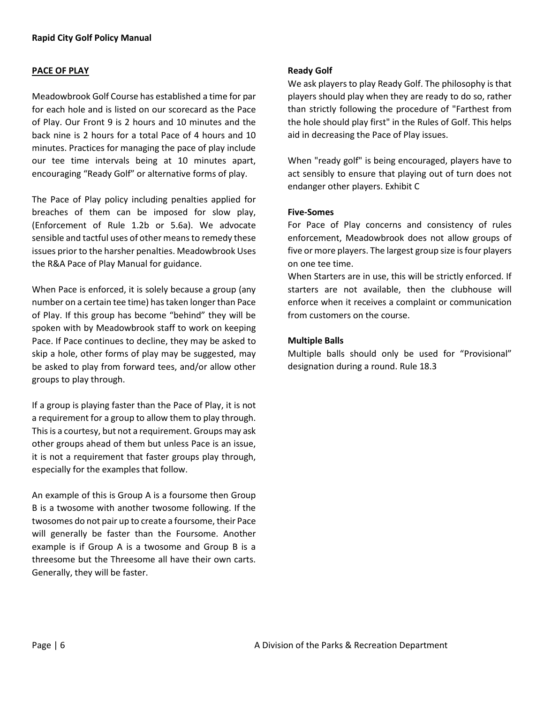### **PACE OF PLAY**

Meadowbrook Golf Course has established a time for par for each hole and is listed on our scorecard as the Pace of Play. Our Front 9 is 2 hours and 10 minutes and the back nine is 2 hours for a total Pace of 4 hours and 10 minutes. Practices for managing the pace of play include our tee time intervals being at 10 minutes apart, encouraging "Ready Golf" or alternative forms of play.

The Pace of Play policy including penalties applied for breaches of them can be imposed for slow play, (Enforcement of Rule 1.2b or 5.6a). We advocate sensible and tactful uses of other means to remedy these issues prior to the harsher penalties. Meadowbrook Uses the R&A Pace of Play Manual for guidance.

When Pace is enforced, it is solely because a group (any number on a certain tee time) has taken longer than Pace of Play. If this group has become "behind" they will be spoken with by Meadowbrook staff to work on keeping Pace. If Pace continues to decline, they may be asked to skip a hole, other forms of play may be suggested, may be asked to play from forward tees, and/or allow other groups to play through.

If a group is playing faster than the Pace of Play, it is not a requirement for a group to allow them to play through. This is a courtesy, but not a requirement. Groups may ask other groups ahead of them but unless Pace is an issue, it is not a requirement that faster groups play through, especially for the examples that follow.

An example of this is Group A is a foursome then Group B is a twosome with another twosome following. If the twosomes do not pair up to create a foursome, their Pace will generally be faster than the Foursome. Another example is if Group A is a twosome and Group B is a threesome but the Threesome all have their own carts. Generally, they will be faster.

### **Ready Golf**

We ask players to play Ready Golf. The philosophy is that players should play when they are ready to do so, rather than strictly following the procedure of "Farthest from the hole should play first" in the Rules of Golf. This helps aid in decreasing the Pace of Play issues.

When "ready golf" is being encouraged, players have to act sensibly to ensure that playing out of turn does not endanger other players. Exhibit C

### **Five-Somes**

For Pace of Play concerns and consistency of rules enforcement, Meadowbrook does not allow groups of five or more players. The largest group size is four players on one tee time.

When Starters are in use, this will be strictly enforced. If starters are not available, then the clubhouse will enforce when it receives a complaint or communication from customers on the course.

### **Multiple Balls**

Multiple balls should only be used for "Provisional" designation during a round. Rule 18.3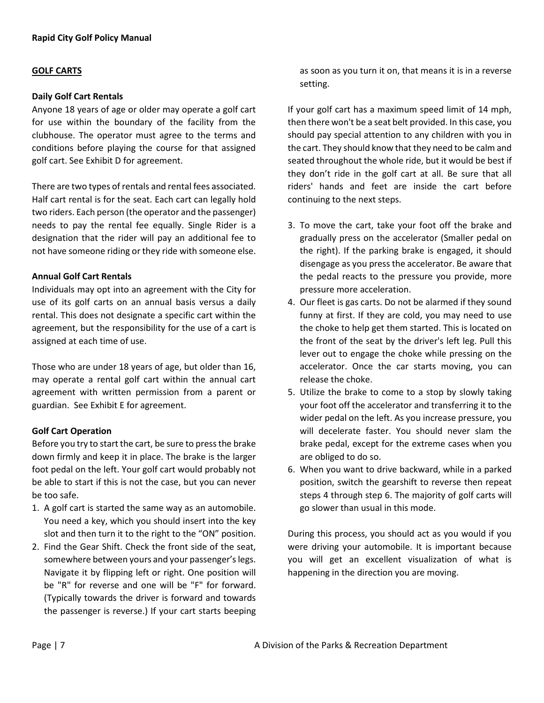## **GOLF CARTS**

#### **Daily Golf Cart Rentals**

Anyone 18 years of age or older may operate a golf cart for use within the boundary of the facility from the clubhouse. The operator must agree to the terms and conditions before playing the course for that assigned golf cart. See Exhibit D for agreement.

There are two types of rentals and rental fees associated. Half cart rental is for the seat. Each cart can legally hold two riders. Each person (the operator and the passenger) needs to pay the rental fee equally. Single Rider is a designation that the rider will pay an additional fee to not have someone riding or they ride with someone else.

## **Annual Golf Cart Rentals**

Individuals may opt into an agreement with the City for use of its golf carts on an annual basis versus a daily rental. This does not designate a specific cart within the agreement, but the responsibility for the use of a cart is assigned at each time of use.

Those who are under 18 years of age, but older than 16, may operate a rental golf cart within the annual cart agreement with written permission from a parent or guardian. See Exhibit E for agreement.

## **Golf Cart Operation**

Before you try to start the cart, be sure to press the brake down firmly and keep it in place. The brake is the larger foot pedal on the left. Your golf cart would probably not be able to start if this is not the case, but you can never be too safe.

- 1. A golf cart is started the same way as an automobile. You need a key, which you should insert into the key slot and then turn it to the right to the "ON" position.
- 2. Find the Gear Shift. Check the front side of the seat, somewhere between yours and your passenger's legs. Navigate it by flipping left or right. One position will be "R" for reverse and one will be "F" for forward. (Typically towards the driver is forward and towards the passenger is reverse.) If your cart starts beeping

as soon as you turn it on, that means it is in a reverse setting.

If your golf cart has a maximum speed limit of 14 mph, then there won't be a seat belt provided. In this case, you should pay special attention to any children with you in the cart. They should know that they need to be calm and seated throughout the whole ride, but it would be best if they don't ride in the golf cart at all. Be sure that all riders' hands and feet are inside the cart before continuing to the next steps.

- 3. To move the cart, take your foot off the brake and gradually press on the accelerator (Smaller pedal on the right). If the parking brake is engaged, it should disengage as you press the accelerator. Be aware that the pedal reacts to the pressure you provide, more pressure more acceleration.
- 4. Our fleet is gas carts. Do not be alarmed if they sound funny at first. If they are cold, you may need to use the choke to help get them started. This is located on the front of the seat by the driver's left leg. Pull this lever out to engage the choke while pressing on the accelerator. Once the car starts moving, you can release the choke.
- 5. Utilize the brake to come to a stop by slowly taking your foot off the accelerator and transferring it to the wider pedal on the left. As you increase pressure, you will decelerate faster. You should never slam the brake pedal, except for the extreme cases when you are obliged to do so.
- 6. When you want to drive backward, while in a parked position, switch the gearshift to reverse then repeat steps 4 through step 6. The majority of golf carts will go slower than usual in this mode.

During this process, you should act as you would if you were driving your automobile. It is important because you will get an excellent visualization of what is happening in the direction you are moving.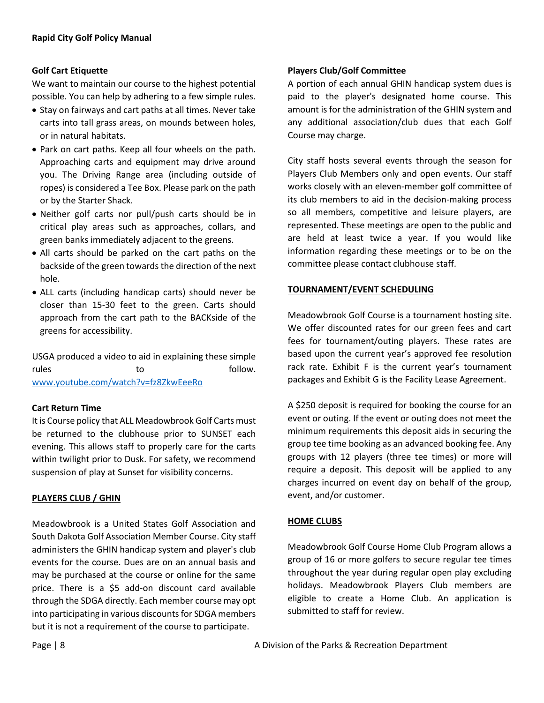# **Golf Cart Etiquette**

We want to maintain our course to the highest potential possible. You can help by adhering to a few simple rules.

- Stay on fairways and cart paths at all times. Never take carts into tall grass areas, on mounds between holes, or in natural habitats.
- Park on cart paths. Keep all four wheels on the path. Approaching carts and equipment may drive around you. The Driving Range area (including outside of ropes) is considered a Tee Box. Please park on the path or by the Starter Shack.
- Neither golf carts nor pull/push carts should be in critical play areas such as approaches, collars, and green banks immediately adjacent to the greens.
- All carts should be parked on the cart paths on the backside of the green towards the direction of the next hole.
- ALL carts (including handicap carts) should never be closer than 15-30 feet to the green. Carts should approach from the cart path to the BACKside of the greens for accessibility.

USGA produced a video to aid in explaining these simple rules to to follow. [www.youtube.com/watch?v=fz8ZkwEeeRo](http://www.youtube.com/watch?v=fz8ZkwEeeRo) 

# **Cart Return Time**

It is Course policy that ALL Meadowbrook Golf Carts must be returned to the clubhouse prior to SUNSET each evening. This allows staff to properly care for the carts within twilight prior to Dusk. For safety, we recommend suspension of play at Sunset for visibility concerns.

## **PLAYERS CLUB / GHIN**

Meadowbrook is a United States Golf Association and South Dakota Golf Association Member Course. City staff administers the GHIN handicap system and player's club events for the course. Dues are on an annual basis and may be purchased at the course or online for the same price. There is a \$5 add-on discount card available through the SDGA directly. Each member course may opt into participating in various discounts for SDGA members but it is not a requirement of the course to participate.

# **Players Club/Golf Committee**

A portion of each annual GHIN handicap system dues is paid to the player's designated home course. This amount is for the administration of the GHIN system and any additional association/club dues that each Golf Course may charge.

City staff hosts several events through the season for Players Club Members only and open events. Our staff works closely with an eleven-member golf committee of its club members to aid in the decision-making process so all members, competitive and leisure players, are represented. These meetings are open to the public and are held at least twice a year. If you would like information regarding these meetings or to be on the committee please contact clubhouse staff.

# **TOURNAMENT/EVENT SCHEDULING**

Meadowbrook Golf Course is a tournament hosting site. We offer discounted rates for our green fees and cart fees for tournament/outing players. These rates are based upon the current year's approved fee resolution rack rate. Exhibit F is the current year's tournament packages and Exhibit G is the Facility Lease Agreement.

A \$250 deposit is required for booking the course for an event or outing. If the event or outing does not meet the minimum requirements this deposit aids in securing the group tee time booking as an advanced booking fee. Any groups with 12 players (three tee times) or more will require a deposit. This deposit will be applied to any charges incurred on event day on behalf of the group, event, and/or customer.

## **HOME CLUBS**

Meadowbrook Golf Course Home Club Program allows a group of 16 or more golfers to secure regular tee times throughout the year during regular open play excluding holidays. Meadowbrook Players Club members are eligible to create a Home Club. An application is submitted to staff for review.